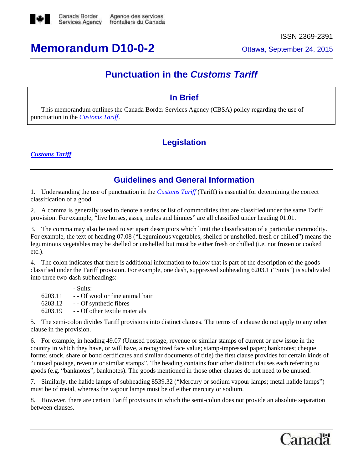

# **Memorandum D10-0-2** Ottawa, September 24, 2015

# **Punctuation in the** *Customs Tariff*

#### **In Brief**

This memorandum outlines the Canada Border Services Agency (CBSA) policy regarding the use of punctuation in the *[Customs Tariff](http://www.cbsa-asfc.gc.ca/trade-commerce/tariff-tarif/menu-eng.html)*.

## **Legislation**

*[Customs Tariff](http://www.cbsa-asfc.gc.ca/trade-commerce/tariff-tarif/menu-eng.html)*

### **Guidelines and General Information**

1. Understanding the use of punctuation in the *[Customs Tariff](http://www.cbsa-asfc.gc.ca/trade-commerce/tariff-tarif/menu-eng.html)* (Tariff) is essential for determining the correct classification of a good.

2. A comma is generally used to denote a series or list of commodities that are classified under the same Tariff provision. For example, "live horses, asses, mules and hinnies" are all classified under heading 01.01.

3. The comma may also be used to set apart descriptors which limit the classification of a particular commodity. For example, the text of heading 07.08 ("Leguminous vegetables, shelled or unshelled, fresh or chilled") means the leguminous vegetables may be shelled or unshelled but must be either fresh or chilled (i.e. not frozen or cooked etc.).

4. The colon indicates that there is additional information to follow that is part of the description of the goods classified under the Tariff provision. For example, one dash, suppressed subheading 6203.1 ("Suits") is subdivided into three two-dash subheadings:

- Suits: 6203.11 - - Of wool or fine animal hair 6203.12 - - Of synthetic fibres 6203.19 - - Of other textile materials

5. The semi-colon divides Tariff provisions into distinct clauses. The terms of a clause do not apply to any other clause in the provision.

6. For example, in heading 49.07 (Unused postage, revenue or similar stamps of current or new issue in the country in which they have, or will have, a recognized face value; stamp-impressed paper; banknotes; cheque forms; stock, share or bond certificates and similar documents of title) the first clause provides for certain kinds of "unused postage, revenue or similar stamps". The heading contains four other distinct clauses each referring to goods (e.g. "banknotes", banknotes). The goods mentioned in those other clauses do not need to be unused.

7. Similarly, the halide lamps of subheading 8539.32 ("Mercury or sodium vapour lamps; metal halide lamps") must be of metal, whereas the vapour lamps must be of either mercury or sodium.

8. However, there are certain Tariff provisions in which the semi-colon does not provide an absolute separation between clauses.